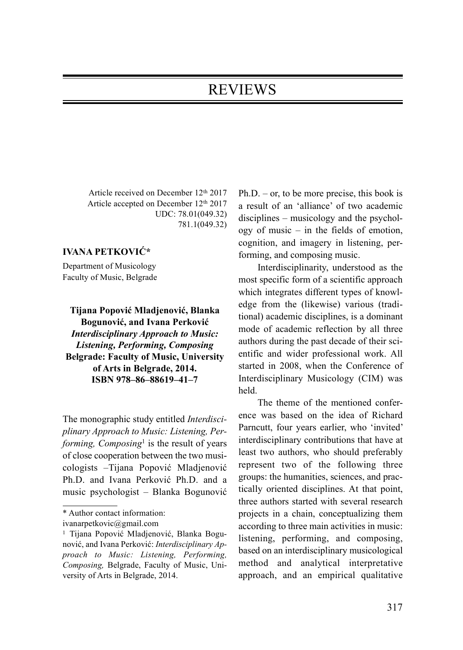## REVIEWS

Article received on December 12th 2017 Article accepted on December 12<sup>th</sup> 2017 UDC: 78.01(049.32) 781.1(049.32)

## IVANA PETKOVIĆ\*

Department of Musicology Faculty of Music, Belgrade

Tijana Popović Mladjenović, Blanka Bogunović, and Ivana Perković Interdisciplinary Approach to Music: Listening, Performing, Composing Belgrade: Faculty of Music, University of Arts in Belgrade, 2014. ISBN 978–86–88619–41–7

The monographic study entitled Interdisciplinary Approach to Music: Listening, Performing, Composing<sup>1</sup> is the result of years of close cooperation between the two musicologists –Tijana Popović Mladjenović Ph.D. and Ivana Perković Ph.D. and a music psychologist – Blanka Bogunović  $Ph.D. - or, to be more precise, this book is$ a result of an 'alliance' of two academic disciplines – musicology and the psychology of music – in the fields of emotion, cognition, and imagery in listening, performing, and composing music.

Interdisciplinarity, understood as the most specific form of a scientific approach which integrates different types of knowledge from the (likewise) various (traditional) academic disciplines, is a dominant mode of academic reflection by all three authors during the past decade of their scientific and wider professional work. All started in 2008, when the Conference of Interdisciplinary Musicology (CIM) was held.

The theme of the mentioned conference was based on the idea of Richard Parncutt, four years earlier, who 'invited' interdisciplinary contributions that have at least two authors, who should preferably represent two of the following three groups: the humanities, sciences, and practically oriented disciplines. At that point, three authors started with several research projects in a chain, conceptualizing them according to three main activities in music: listening, performing, and composing, based on an interdisciplinary musicological method and analytical interpretative approach, and an empirical qualitative

<sup>\*</sup> Author contact information:

ivanarpetkovic@gmail.com

<sup>1</sup> Tijana Popović Mladjenović, Blanka Bogunović, and Ivana Perković: Interdisciplinary Approach to Music: Listening, Performing, Composing, Belgrade, Faculty of Music, University of Arts in Belgrade, 2014.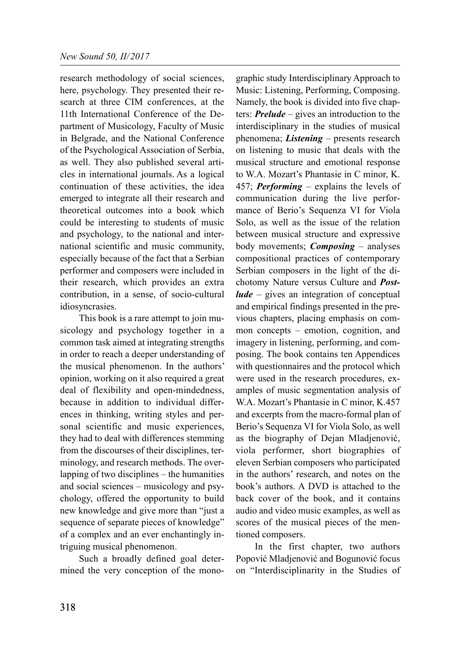research methodology of social sciences, here, psychology. They presented their research at three CIM conferences, at the 11th International Conference of the Department of Musicology, Faculty of Music in Belgrade, and the National Conference of the Psychological Association of Serbia, as well. They also published several articles in international journals. As a logical continuation of these activities, the idea emerged to integrate all their research and theoretical outcomes into a book which could be interesting to students of music and psychology, to the national and international scientific and music community, especially because of the fact that a Serbian performer and composers were included in their research, which provides an extra contribution, in a sense, of socio-cultural idiosyncrasies.

This book is a rare attempt to join musicology and psychology together in a common task aimed at integrating strengths in order to reach a deeper understanding of the musical phenomenon. In the authors' opinion, working on it also required a great deal of flexibility and open-mindedness, because in addition to individual differences in thinking, writing styles and personal scientific and music experiences, they had to deal with differences stemming from the discourses of their disciplines, terminology, and research methods. The overlapping of two disciplines – the humanities and social sciences – musicology and psychology, offered the opportunity to build new knowledge and give more than "just a sequence of separate pieces of knowledge" of a complex and an ever enchantingly intriguing musical phenomenon.

Such a broadly defined goal determined the very conception of the monographic study Interdisciplinary Approach to Music: Listening, Performing, Composing. Namely, the book is divided into five chapters: **Prelude** – gives an introduction to the interdisciplinary in the studies of musical phenomena; *Listening* – presents research on listening to music that deals with the musical structure and emotional response to W.A. Mozart's Phantasie in C minor, K. 457; **Performing** – explains the levels of communication during the live performance of Berio's Sequenza VI for Viola Solo, as well as the issue of the relation between musical structure and expressive body movements; *Composing* – analyses compositional practices of contemporary Serbian composers in the light of the dichotomy Nature versus Culture and Post $lude$  – gives an integration of conceptual and empirical findings presented in the previous chapters, placing emphasis on common concepts – emotion, cognition, and imagery in listening, performing, and composing. The book contains ten Appendices with questionnaires and the protocol which were used in the research procedures, examples of music segmentation analysis of W.A. Mozart's Phantasie in C minor, K.457 and excerpts from the macro-formal plan of Berio's Sequenza VI for Viola Solo, as well as the biography of Dejan Mladjenović, viola performer, short biographies of eleven Serbian composers who participated in the authors' research, and notes on the book's authors. A DVD is attached to the back cover of the book, and it contains audio and video music examples, as well as scores of the musical pieces of the mentioned composers.

In the first chapter, two authors Popović Mladjenović and Bogunović focus on "Interdisciplinarity in the Studies of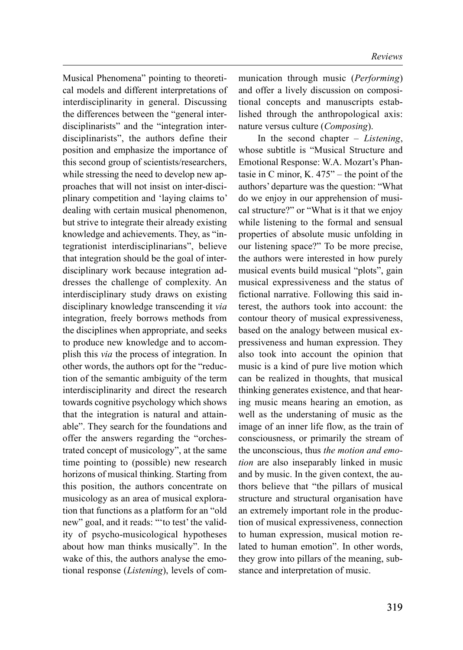Musical Phenomena" pointing to theoretical models and different interpretations of interdisciplinarity in general. Discussing the differences between the "general interdisciplinarists" and the "integration interdisciplinarists", the authors define their position and emphasize the importance of this second group of scientists/researchers, while stressing the need to develop new approaches that will not insist on inter-disciplinary competition and 'laying claims to' dealing with certain musical phenomenon, but strive to integrate their already existing knowledge and achievements. They, as "integrationist interdisciplinarians", believe that integration should be the goal of interdisciplinary work because integration addresses the challenge of complexity. An interdisciplinary study draws on existing disciplinary knowledge transcending it via integration, freely borrows methods from the disciplines when appropriate, and seeks to produce new knowledge and to accomplish this via the process of integration. In other words, the authors opt for the "reduction of the semantic ambiguity of the term interdisciplinarity and direct the research towards cognitive psychology which shows that the integration is natural and attainable". They search for the foundations and offer the answers regarding the "orchestrated concept of musicology", at the same time pointing to (possible) new research horizons of musical thinking. Starting from this position, the authors concentrate on musicology as an area of musical exploration that functions as a platform for an "old new" goal, and it reads: "'to test' the validity of psycho-musicological hypotheses about how man thinks musically". In the wake of this, the authors analyse the emotional response (Listening), levels of communication through music (Performing) and offer a lively discussion on compositional concepts and manuscripts established through the anthropological axis: nature versus culture (Composing).

In the second chapter  $-$  Listening, whose subtitle is "Musical Structure and Emotional Response: W.A. Mozart's Phantasie in C minor, K. 475" – the point of the authors' departure was the question: "What do we enjoy in our apprehension of musical structure?" or "What is it that we enjoy while listening to the formal and sensual properties of absolute music unfolding in our listening space?" To be more precise, the authors were interested in how purely musical events build musical "plots", gain musical expressiveness and the status of fictional narrative. Following this said interest, the authors took into account: the contour theory of musical expressiveness, based on the analogy between musical expressiveness and human expression. They also took into account the opinion that music is a kind of pure live motion which can be realized in thoughts, that musical thinking generates existence, and that hearing music means hearing an emotion, as well as the understaning of music as the image of an inner life flow, as the train of consciousness, or primarily the stream of the unconscious, thus the motion and emotion are also inseparably linked in music and by music. In the given context, the authors believe that "the pillars of musical structure and structural organisation have an extremely important role in the production of musical expressiveness, connection to human expression, musical motion related to human emotion". In other words, they grow into pillars of the meaning, substance and interpretation of music.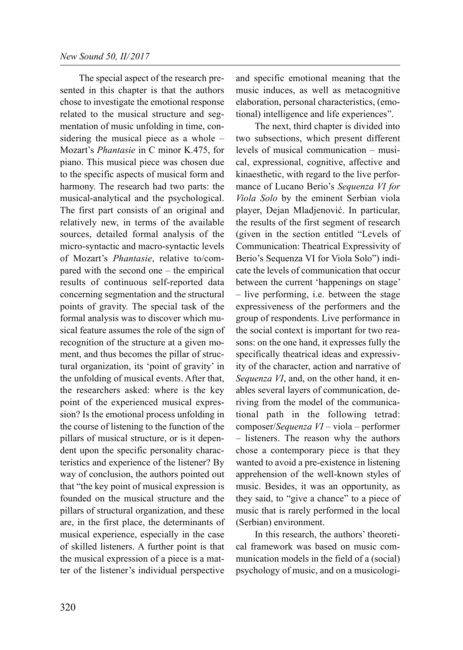The special aspect of the research presented in this chapter is that the authors chose to investigate the emotional response related to the musical structure and segmentation of music unfolding in time, considering the musical piece as a whole – Mozart's Phantasie in C minor K.475, for piano. This musical piece was chosen due to the specific aspects of musical form and harmony. The research had two parts: the musical-analytical and the psychological. The first part consists of an original and relatively new, in terms of the available sources, detailed formal analysis of the micro-syntactic and macro-syntactic levels of Mozart's Phantasie, relative to/compared with the second one – the empirical results of continuous self-reported data concerning segmentation and the structural points of gravity. The special task of the formal analysis was to discover which musical feature assumes the role of the sign of recognition of the structure at a given moment, and thus becomes the pillar of structural organization, its 'point of gravity' in the unfolding of musical events. After that, the researchers asked: where is the key point of the experienced musical expression? Is the emotional process unfolding in the course of listening to the function of the pillars of musical structure, or is it dependent upon the specific personality characteristics and experience of the listener? By way of conclusion, the authors pointed out that "the key point of musical expression is founded on the musical structure and the pillars of structural organization, and these are, in the first place, the determinants of musical experience, especially in the case of skilled listeners. A further point is that the musical expression of a piece is a matter of the listener's individual perspective

and specific emotional meaning that the music induces, as well as metacognitive elaboration, personal characteristics, (emotional) intelligence and life experiences".

The next, third chapter is divided into two subsections, which present different levels of musical communication – musical, expressional, cognitive, affective and kinaesthetic, with regard to the live performance of Lucano Berio's Sequenza VI for Viola Solo by the eminent Serbian viola player, Dejan Mladjenović. In particular, the results of the first segment of research (given in the section entitled "Levels of Communication: Theatrical Expressivity of Berio's Sequenza VI for Viola Solo") indicate the levels of communication that occur between the current 'happenings on stage' – live performing, i.e. between the stage expressiveness of the performers and the group of respondents. Live performance in the social context is important for two reasons: on the one hand, it expresses fully the specifically theatrical ideas and expressivity of the character, action and narrative of Sequenza VI, and, on the other hand, it enables several layers of communication, deriving from the model of the communicational path in the following tetrad: composer/Sequenza VI – viola – performer – listeners. The reason why the authors chose a contemporary piece is that they wanted to avoid a pre-existence in listening apprehension of the well-known styles of music. Besides, it was an opportunity, as they said, to "give a chance" to a piece of music that is rarely performed in the local (Serbian) environment.

In this research, the authors' theoretical framework was based on music communication models in the field of a (social) psychology of music, and on a musicologi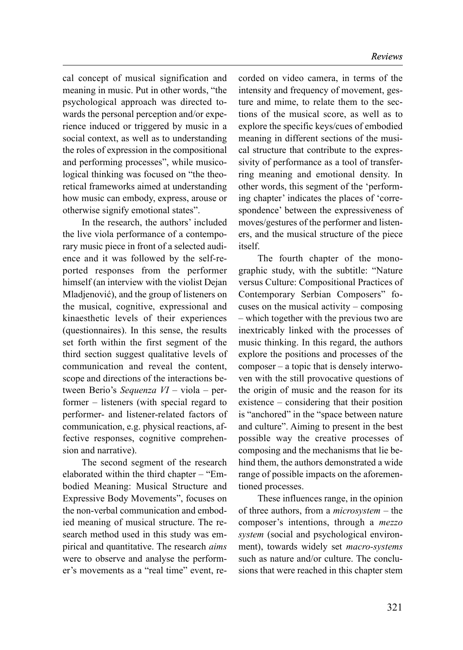cal concept of musical signification and meaning in music. Put in other words, "the psychological approach was directed towards the personal perception and/or experience induced or triggered by music in a social context, as well as to understanding the roles of expression in the compositional and performing processes", while musicological thinking was focused on "the theoretical frameworks aimed at understanding how music can embody, express, arouse or otherwise signify emotional states".

In the research, the authors' included the live viola performance of a contemporary music piece in front of a selected audience and it was followed by the self-reported responses from the performer himself (an interview with the violist Dejan Mladjenović), and the group of listeners on the musical, cognitive, expressional and kinaesthetic levels of their experiences (questionnaires). In this sense, the results set forth within the first segment of the third section suggest qualitative levels of communication and reveal the content, scope and directions of the interactions between Berio's Sequenza VI – viola – performer – listeners (with special regard to performer- and listener-related factors of communication, e.g. physical reactions, affective responses, cognitive comprehension and narrative).

The second segment of the research elaborated within the third chapter – "Embodied Meaning: Musical Structure and Expressive Body Movements", focuses on the non-verbal communication and embodied meaning of musical structure. The research method used in this study was empirical and quantitative. The research aims were to observe and analyse the performer's movements as a "real time" event, recorded on video camera, in terms of the intensity and frequency of movement, gesture and mime, to relate them to the sections of the musical score, as well as to explore the specific keys/cues of embodied meaning in different sections of the musical structure that contribute to the expressivity of performance as a tool of transferring meaning and emotional density. In other words, this segment of the 'performing chapter' indicates the places of 'correspondence' between the expressiveness of moves/gestures of the performer and listeners, and the musical structure of the piece itself.

The fourth chapter of the monographic study, with the subtitle: "Nature versus Culture: Compositional Practices of Contemporary Serbian Composers" focuses on the musical activity – composing – which together with the previous two are inextricably linked with the processes of music thinking. In this regard, the authors explore the positions and processes of the composer – a topic that is densely interwoven with the still provocative questions of the origin of music and the reason for its existence – considering that their position is "anchored" in the "space between nature and culture". Aiming to present in the best possible way the creative processes of composing and the mechanisms that lie behind them, the authors demonstrated a wide range of possible impacts on the aforementioned processes.

These influences range, in the opinion of three authors, from a microsystem – the composer's intentions, through a mezzo system (social and psychological environment), towards widely set *macro-systems* such as nature and/or culture. The conclusions that were reached in this chapter stem